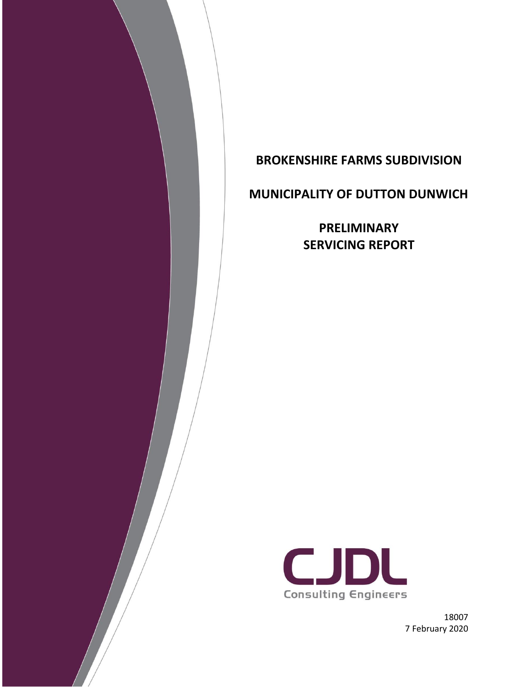

**MUNICIPALITY OF DUTTON DUNWICH**

**PRELIMINARY SERVICING REPORT**



18007 7 February 2020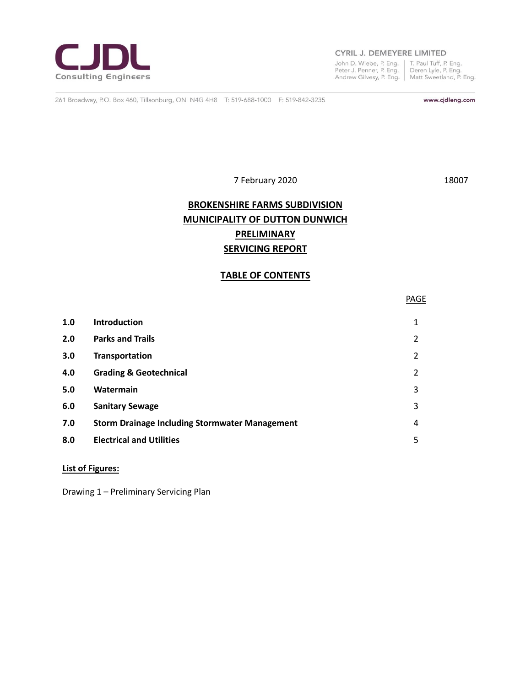

#### CYRIL J. DEMEYERE LIMITED

John D. Wiebe, P. Eng. | T. Paul Tuff, P. Eng.<br>Peter J. Penner, P. Eng. | Deren Lyle, P. Eng.<br>Andrew Gilvesy, P. Eng. | Matt Sweetland, P. Eng.

261 Broadway, P.O. Box 460, Tillsonburg, ON N4G 4H8 T: 519-688-1000 F: 519-842-3235

www.cjdleng.com

7 February 2020 18007

### **BROKENSHIRE FARMS SUBDIVISION MUNICIPALITY OF DUTTON DUNWICH PRELIMINARY SERVICING REPORT**

#### **TABLE OF CONTENTS**

|     |                                                       | <b>PAGE</b>    |
|-----|-------------------------------------------------------|----------------|
| 1.0 | <b>Introduction</b>                                   | 1              |
| 2.0 | <b>Parks and Trails</b>                               | $\overline{2}$ |
| 3.0 | Transportation                                        | $\overline{2}$ |
| 4.0 | <b>Grading &amp; Geotechnical</b>                     | $\overline{2}$ |
| 5.0 | Watermain                                             | 3              |
| 6.0 | <b>Sanitary Sewage</b>                                | 3              |
| 7.0 | <b>Storm Drainage Including Stormwater Management</b> | 4              |
| 8.0 | <b>Electrical and Utilities</b>                       | 5              |
|     |                                                       |                |

#### **List of Figures:**

Drawing 1 – Preliminary Servicing Plan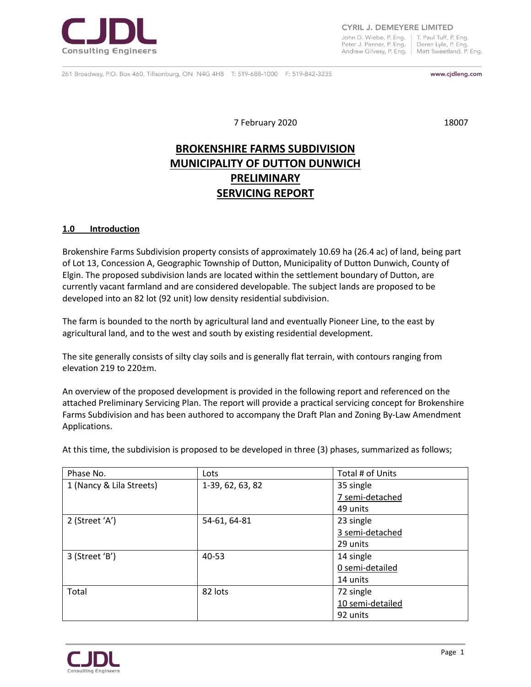

CYRIL J. DEMEYERE LIMITED

John D. Wiebe, P. Eng. T. Paul Tuff, P. Eng. Peter J. Penner, P. Eng. Deren Lyle, P. Eng Andrew Gilvesy, P. Eng. | Matt Sweetland, P. Eng.

261 Broadway, P.O. Box 460, Tillsonburg, ON N4G 4H8 T: 519-688-1000 F: 519-842-3235

www.cjdleng.com

7 February 2020 18007

## **BROKENSHIRE FARMS SUBDIVISION MUNICIPALITY OF DUTTON DUNWICH PRELIMINARY SERVICING REPORT**

#### **1.0 Introduction**

Brokenshire Farms Subdivision property consists of approximately 10.69 ha (26.4 ac) of land, being part of Lot 13, Concession A, Geographic Township of Dutton, Municipality of Dutton Dunwich, County of Elgin. The proposed subdivision lands are located within the settlement boundary of Dutton, are currently vacant farmland and are considered developable. The subject lands are proposed to be developed into an 82 lot (92 unit) low density residential subdivision.

The farm is bounded to the north by agricultural land and eventually Pioneer Line, to the east by agricultural land, and to the west and south by existing residential development.

The site generally consists of silty clay soils and is generally flat terrain, with contours ranging from elevation 219 to 220±m.

An overview of the proposed development is provided in the following report and referenced on the attached Preliminary Servicing Plan. The report will provide a practical servicing concept for Brokenshire Farms Subdivision and has been authored to accompany the Draft Plan and Zoning By-Law Amendment Applications.

| Phase No.                | Lots             | Total # of Units |
|--------------------------|------------------|------------------|
| 1 (Nancy & Lila Streets) | 1-39, 62, 63, 82 | 35 single        |
|                          |                  | 7 semi-detached  |
|                          |                  | 49 units         |
| 2 (Street 'A')           | 54-61, 64-81     | 23 single        |
|                          |                  | 3 semi-detached  |
|                          |                  | 29 units         |
| 3 (Street 'B')           | 40-53            | 14 single        |
|                          |                  | 0 semi-detailed  |
|                          |                  | 14 units         |
| Total                    | 82 lots          | 72 single        |
|                          |                  | 10 semi-detailed |
|                          |                  | 92 units         |

At this time, the subdivision is proposed to be developed in three (3) phases, summarized as follows;

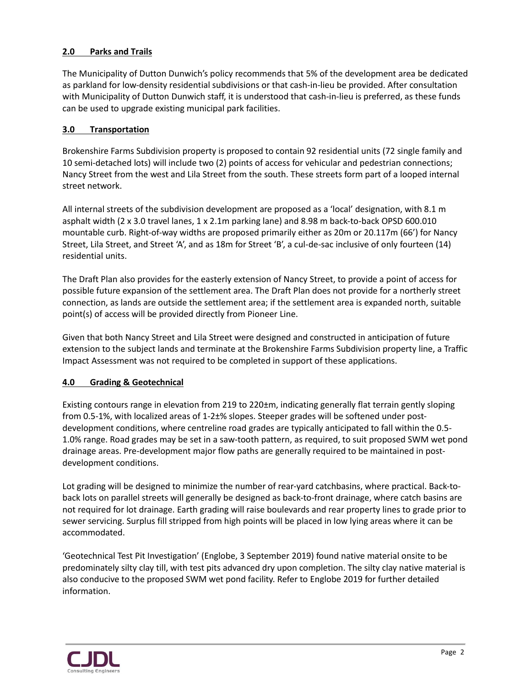#### **2.0 Parks and Trails**

The Municipality of Dutton Dunwich's policy recommends that 5% of the development area be dedicated as parkland for low-density residential subdivisions or that cash-in-lieu be provided. After consultation with Municipality of Dutton Dunwich staff, it is understood that cash-in-lieu is preferred, as these funds can be used to upgrade existing municipal park facilities.

#### **3.0 Transportation**

Brokenshire Farms Subdivision property is proposed to contain 92 residential units (72 single family and 10 semi-detached lots) will include two (2) points of access for vehicular and pedestrian connections; Nancy Street from the west and Lila Street from the south. These streets form part of a looped internal street network.

All internal streets of the subdivision development are proposed as a 'local' designation, with 8.1 m asphalt width (2 x 3.0 travel lanes, 1 x 2.1m parking lane) and 8.98 m back-to-back OPSD 600.010 mountable curb. Right-of-way widths are proposed primarily either as 20m or 20.117m (66') for Nancy Street, Lila Street, and Street 'A', and as 18m for Street 'B', a cul-de-sac inclusive of only fourteen (14) residential units.

The Draft Plan also provides for the easterly extension of Nancy Street, to provide a point of access for possible future expansion of the settlement area. The Draft Plan does not provide for a northerly street connection, as lands are outside the settlement area; if the settlement area is expanded north, suitable point(s) of access will be provided directly from Pioneer Line.

Given that both Nancy Street and Lila Street were designed and constructed in anticipation of future extension to the subject lands and terminate at the Brokenshire Farms Subdivision property line, a Traffic Impact Assessment was not required to be completed in support of these applications.

#### **4.0 Grading & Geotechnical**

Existing contours range in elevation from 219 to 220±m, indicating generally flat terrain gently sloping from 0.5-1%, with localized areas of 1-2±% slopes. Steeper grades will be softened under postdevelopment conditions, where centreline road grades are typically anticipated to fall within the 0.5- 1.0% range. Road grades may be set in a saw-tooth pattern, as required, to suit proposed SWM wet pond drainage areas. Pre-development major flow paths are generally required to be maintained in postdevelopment conditions.

Lot grading will be designed to minimize the number of rear-yard catchbasins, where practical. Back-toback lots on parallel streets will generally be designed as back-to-front drainage, where catch basins are not required for lot drainage. Earth grading will raise boulevards and rear property lines to grade prior to sewer servicing. Surplus fill stripped from high points will be placed in low lying areas where it can be accommodated.

'Geotechnical Test Pit Investigation' (Englobe, 3 September 2019) found native material onsite to be predominately silty clay till, with test pits advanced dry upon completion. The silty clay native material is also conducive to the proposed SWM wet pond facility. Refer to Englobe 2019 for further detailed information.

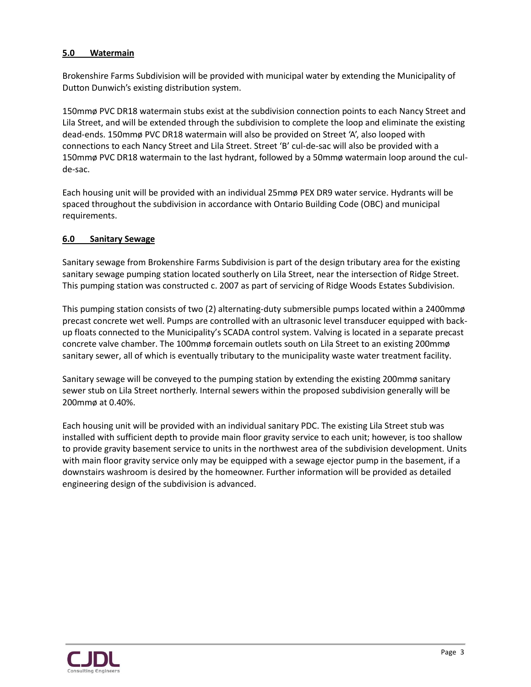#### **5.0 Watermain**

Brokenshire Farms Subdivision will be provided with municipal water by extending the Municipality of Dutton Dunwich's existing distribution system.

150mmø PVC DR18 watermain stubs exist at the subdivision connection points to each Nancy Street and Lila Street, and will be extended through the subdivision to complete the loop and eliminate the existing dead-ends. 150mmø PVC DR18 watermain will also be provided on Street 'A', also looped with connections to each Nancy Street and Lila Street. Street 'B' cul-de-sac will also be provided with a 150mmø PVC DR18 watermain to the last hydrant, followed by a 50mmø watermain loop around the culde-sac.

Each housing unit will be provided with an individual 25mmø PEX DR9 water service. Hydrants will be spaced throughout the subdivision in accordance with Ontario Building Code (OBC) and municipal requirements.

#### **6.0 Sanitary Sewage**

Sanitary sewage from Brokenshire Farms Subdivision is part of the design tributary area for the existing sanitary sewage pumping station located southerly on Lila Street, near the intersection of Ridge Street. This pumping station was constructed c. 2007 as part of servicing of Ridge Woods Estates Subdivision.

This pumping station consists of two (2) alternating-duty submersible pumps located within a 2400mmø precast concrete wet well. Pumps are controlled with an ultrasonic level transducer equipped with backup floats connected to the Municipality's SCADA control system. Valving is located in a separate precast concrete valve chamber. The 100mmø forcemain outlets south on Lila Street to an existing 200mmø sanitary sewer, all of which is eventually tributary to the municipality waste water treatment facility.

Sanitary sewage will be conveyed to the pumping station by extending the existing 200mmø sanitary sewer stub on Lila Street northerly. Internal sewers within the proposed subdivision generally will be 200mmø at 0.40%.

Each housing unit will be provided with an individual sanitary PDC. The existing Lila Street stub was installed with sufficient depth to provide main floor gravity service to each unit; however, is too shallow to provide gravity basement service to units in the northwest area of the subdivision development. Units with main floor gravity service only may be equipped with a sewage ejector pump in the basement, if a downstairs washroom is desired by the homeowner. Further information will be provided as detailed engineering design of the subdivision is advanced.

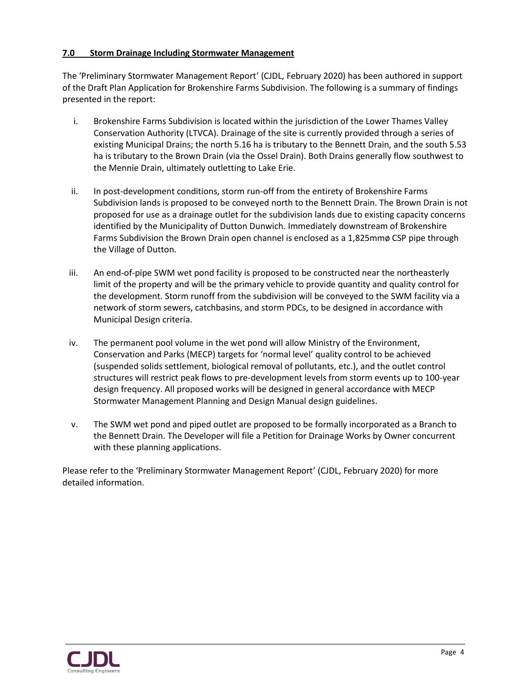#### **7.0 Storm Drainage Including Stormwater Management**

The 'Preliminary Stormwater Management Report' (CJDL, February 2020) has been authored in support of the Draft Plan Application for Brokenshire Farms Subdivision. The following is a summary of findings presented in the report:

- i. Brokenshire Farms Subdivision is located within the jurisdiction of the Lower Thames Valley Conservation Authority (LTVCA). Drainage of the site is currently provided through a series of existing Municipal Drains; the north 5.16 ha is tributary to the Bennett Drain, and the south 5.53 ha is tributary to the Brown Drain (via the Ossel Drain). Both Drains generally flow southwest to the Mennie Drain, ultimately outletting to Lake Erie.
- ii. In post-development conditions, storm run-off from the entirety of Brokenshire Farms Subdivision lands is proposed to be conveyed north to the Bennett Drain. The Brown Drain is not proposed for use as a drainage outlet for the subdivision lands due to existing capacity concerns identified by the Municipality of Dutton Dunwich. Immediately downstream of Brokenshire Farms Subdivision the Brown Drain open channel is enclosed as a 1,825mmø CSP pipe through the Village of Dutton.
- iii. An end-of-pipe SWM wet pond facility is proposed to be constructed near the northeasterly limit of the property and will be the primary vehicle to provide quantity and quality control for the development. Storm runoff from the subdivision will be conveyed to the SWM facility via a network of storm sewers, catchbasins, and storm PDCs, to be designed in accordance with Municipal Design criteria.
- iv. The permanent pool volume in the wet pond will allow Ministry of the Environment, Conservation and Parks (MECP) targets for 'normal level' quality control to be achieved (suspended solids settlement, biological removal of pollutants, etc.), and the outlet control structures will restrict peak flows to pre-development levels from storm events up to 100-year design frequency. All proposed works will be designed in general accordance with MECP Stormwater Management Planning and Design Manual design guidelines.
- v. The SWM wet pond and piped outlet are proposed to be formally incorporated as a Branch to the Bennett Drain. The Developer will file a Petition for Drainage Works by Owner concurrent with these planning applications.

Please refer to the 'Preliminary Stormwater Management Report' (CJDL, February 2020) for more detailed information.

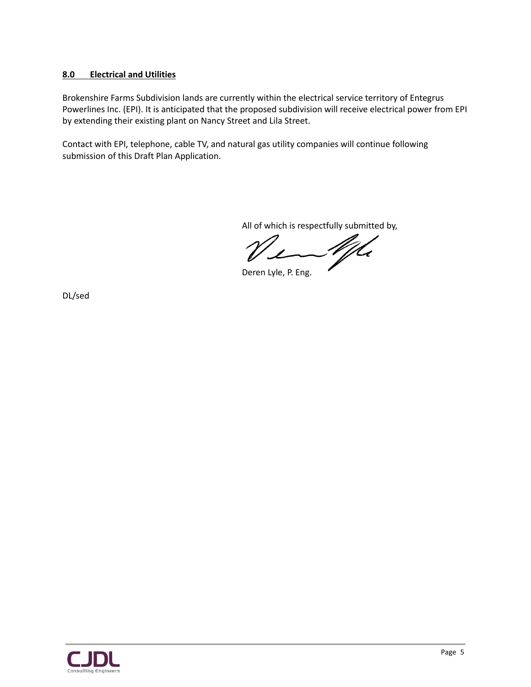#### **8.0 Electrical and Utilities**

Brokenshire Farms Subdivision lands are currently within the electrical service territory of Entegrus Powerlines Inc. (EPI). It is anticipated that the proposed subdivision will receive electrical power from EPI by extending their existing plant on Nancy Street and Lila Street.

Contact with EPI, telephone, cable TV, and natural gas utility companies will continue following submission of this Draft Plan Application.

All of which is respectfully submitted by,

<u>M</u>

Deren Lyle, P. Eng.

DL/sed

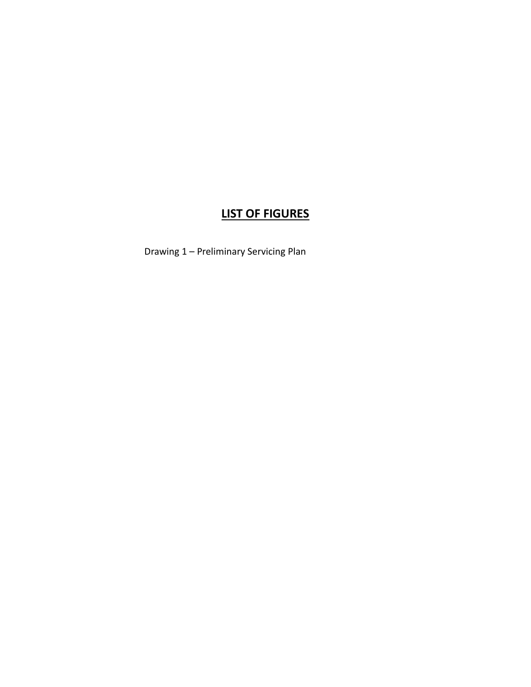## **LIST OF FIGURES**

Drawing 1 – Preliminary Servicing Plan